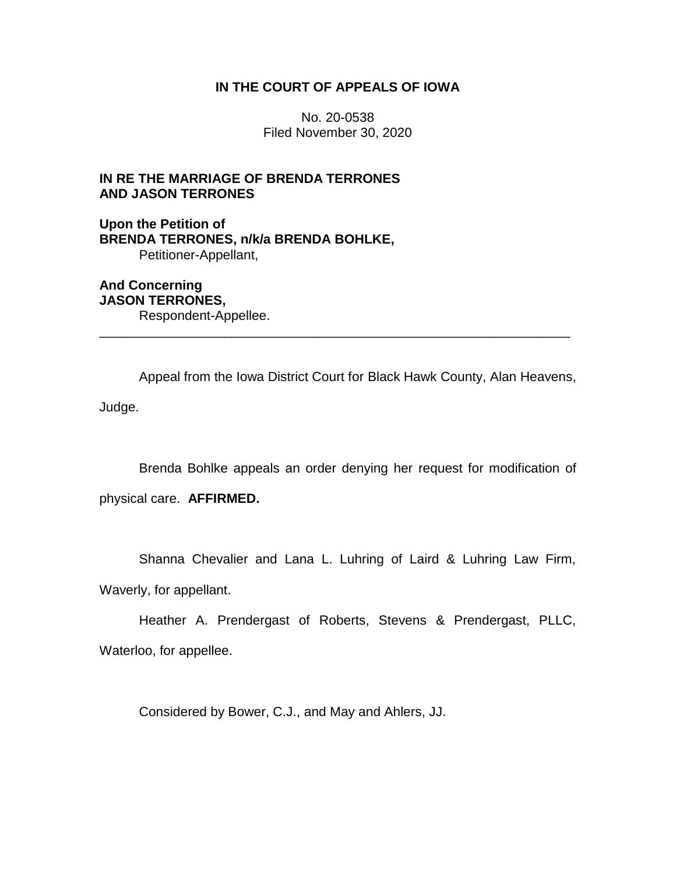# **IN THE COURT OF APPEALS OF IOWA**

No. 20-0538 Filed November 30, 2020

# **IN RE THE MARRIAGE OF BRENDA TERRONES AND JASON TERRONES**

**Upon the Petition of BRENDA TERRONES, n/k/a BRENDA BOHLKE,** Petitioner-Appellant,

**And Concerning JASON TERRONES,** Respondent-Appellee.

Appeal from the Iowa District Court for Black Hawk County, Alan Heavens, Judge.

\_\_\_\_\_\_\_\_\_\_\_\_\_\_\_\_\_\_\_\_\_\_\_\_\_\_\_\_\_\_\_\_\_\_\_\_\_\_\_\_\_\_\_\_\_\_\_\_\_\_\_\_\_\_\_\_\_\_\_\_\_\_\_\_

Brenda Bohlke appeals an order denying her request for modification of

physical care. **AFFIRMED.**

Shanna Chevalier and Lana L. Luhring of Laird & Luhring Law Firm, Waverly, for appellant.

Heather A. Prendergast of Roberts, Stevens & Prendergast, PLLC, Waterloo, for appellee.

Considered by Bower, C.J., and May and Ahlers, JJ.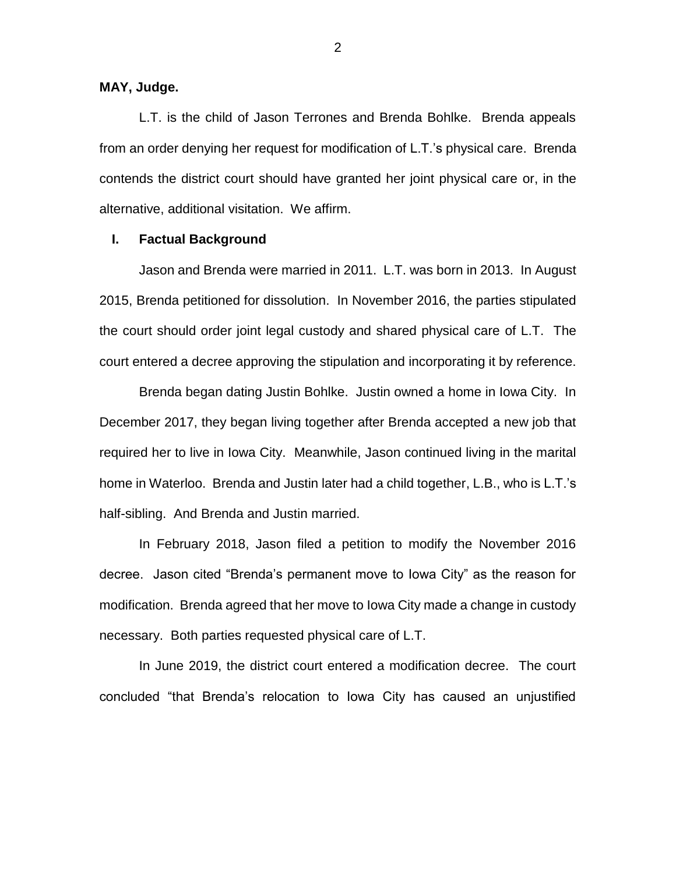**MAY, Judge.**

L.T. is the child of Jason Terrones and Brenda Bohlke. Brenda appeals from an order denying her request for modification of L.T.'s physical care. Brenda contends the district court should have granted her joint physical care or, in the alternative, additional visitation. We affirm.

#### **I. Factual Background**

Jason and Brenda were married in 2011. L.T. was born in 2013. In August 2015, Brenda petitioned for dissolution. In November 2016, the parties stipulated the court should order joint legal custody and shared physical care of L.T. The court entered a decree approving the stipulation and incorporating it by reference.

Brenda began dating Justin Bohlke. Justin owned a home in Iowa City. In December 2017, they began living together after Brenda accepted a new job that required her to live in Iowa City. Meanwhile, Jason continued living in the marital home in Waterloo. Brenda and Justin later had a child together, L.B., who is L.T.'s half-sibling. And Brenda and Justin married.

In February 2018, Jason filed a petition to modify the November 2016 decree. Jason cited "Brenda's permanent move to Iowa City" as the reason for modification. Brenda agreed that her move to Iowa City made a change in custody necessary. Both parties requested physical care of L.T.

In June 2019, the district court entered a modification decree. The court concluded "that Brenda's relocation to Iowa City has caused an unjustified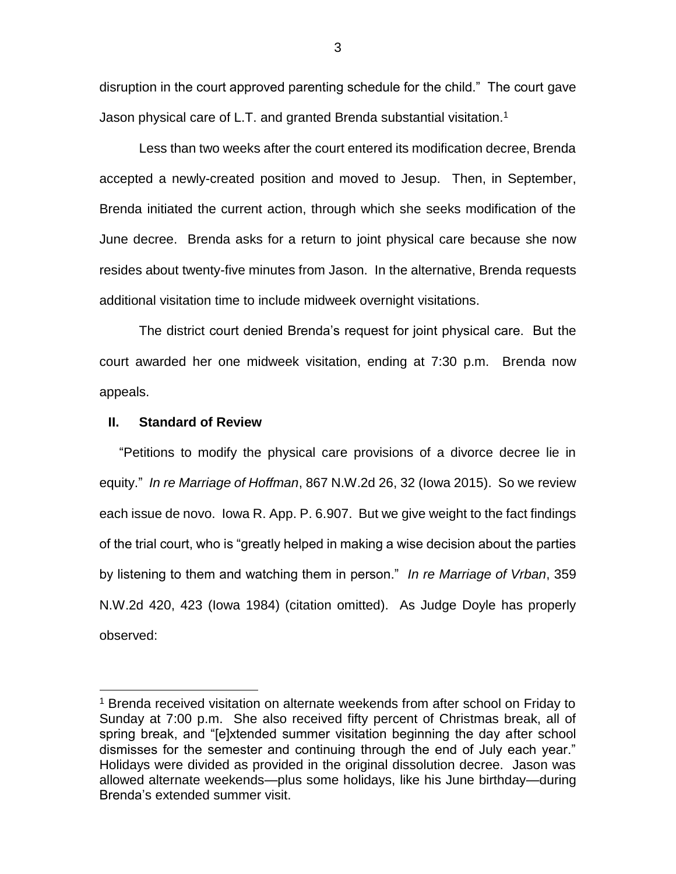disruption in the court approved parenting schedule for the child." The court gave Jason physical care of L.T. and granted Brenda substantial visitation.<sup>1</sup>

Less than two weeks after the court entered its modification decree, Brenda accepted a newly-created position and moved to Jesup. Then, in September, Brenda initiated the current action, through which she seeks modification of the June decree. Brenda asks for a return to joint physical care because she now resides about twenty-five minutes from Jason. In the alternative, Brenda requests additional visitation time to include midweek overnight visitations.

The district court denied Brenda's request for joint physical care. But the court awarded her one midweek visitation, ending at 7:30 p.m. Brenda now appeals.

## **II. Standard of Review**

 $\overline{a}$ 

"Petitions to modify the physical care provisions of a divorce decree lie in equity." *In re Marriage of Hoffman*, 867 N.W.2d 26, 32 (Iowa 2015). So we review each issue de novo. Iowa R. App. P. 6.907. But we give weight to the fact findings of the trial court, who is "greatly helped in making a wise decision about the parties by listening to them and watching them in person." *In re Marriage of Vrban*, 359 N.W.2d 420, 423 (Iowa 1984) (citation omitted). As Judge Doyle has properly observed:

<sup>&</sup>lt;sup>1</sup> Brenda received visitation on alternate weekends from after school on Friday to Sunday at 7:00 p.m. She also received fifty percent of Christmas break, all of spring break, and "[e]xtended summer visitation beginning the day after school dismisses for the semester and continuing through the end of July each year." Holidays were divided as provided in the original dissolution decree. Jason was allowed alternate weekends—plus some holidays, like his June birthday—during Brenda's extended summer visit.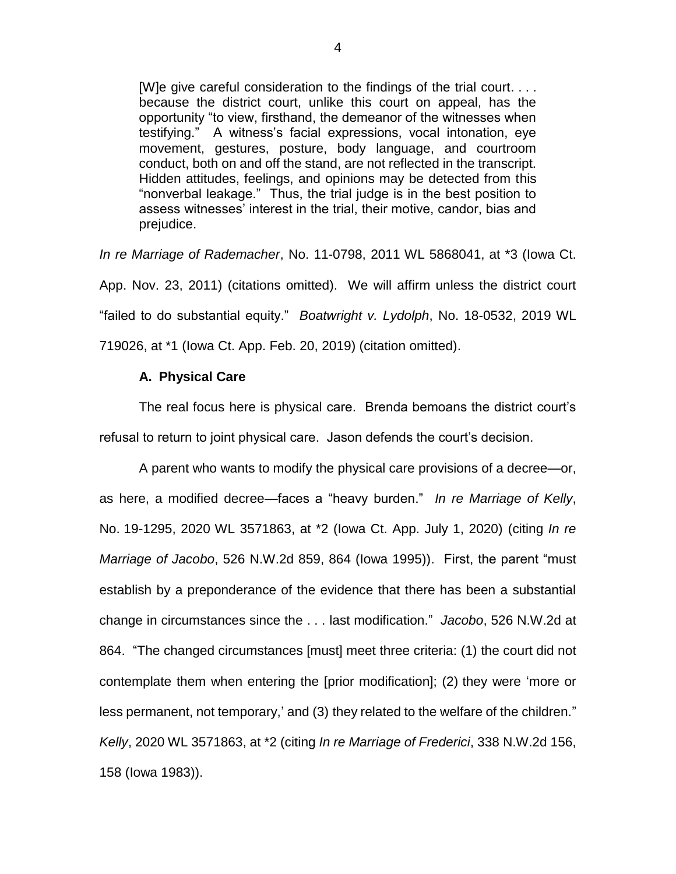[W]e give careful consideration to the findings of the trial court. . . . because the district court, unlike this court on appeal, has the opportunity "to view, firsthand, the demeanor of the witnesses when testifying." A witness's facial expressions, vocal intonation, eye movement, gestures, posture, body language, and courtroom conduct, both on and off the stand, are not reflected in the transcript. Hidden attitudes, feelings, and opinions may be detected from this "nonverbal leakage." Thus, the trial judge is in the best position to assess witnesses' interest in the trial, their motive, candor, bias and prejudice.

*In re Marriage of Rademacher*, No. 11-0798, 2011 WL 5868041, at \*3 (Iowa Ct. App. Nov. 23, 2011) (citations omitted). We will affirm unless the district court "failed to do substantial equity." *Boatwright v. Lydolph*, No. 18-0532, 2019 WL 719026, at \*1 (Iowa Ct. App. Feb. 20, 2019) (citation omitted).

## **A. Physical Care**

The real focus here is physical care. Brenda bemoans the district court's refusal to return to joint physical care. Jason defends the court's decision.

A parent who wants to modify the physical care provisions of a decree—or, as here, a modified decree—faces a "heavy burden." *In re Marriage of Kelly*, No. 19-1295, 2020 WL 3571863, at \*2 (Iowa Ct. App. July 1, 2020) (citing *In re Marriage of Jacobo*, 526 N.W.2d 859, 864 (Iowa 1995)). First, the parent "must establish by a preponderance of the evidence that there has been a substantial change in circumstances since the . . . last modification." *Jacobo*, 526 N.W.2d at 864. "The changed circumstances [must] meet three criteria: (1) the court did not contemplate them when entering the [prior modification]; (2) they were 'more or less permanent, not temporary,' and (3) they related to the welfare of the children." *Kelly*, 2020 WL 3571863, at \*2 (citing *In re Marriage of Frederici*, 338 N.W.2d 156, 158 (Iowa 1983)).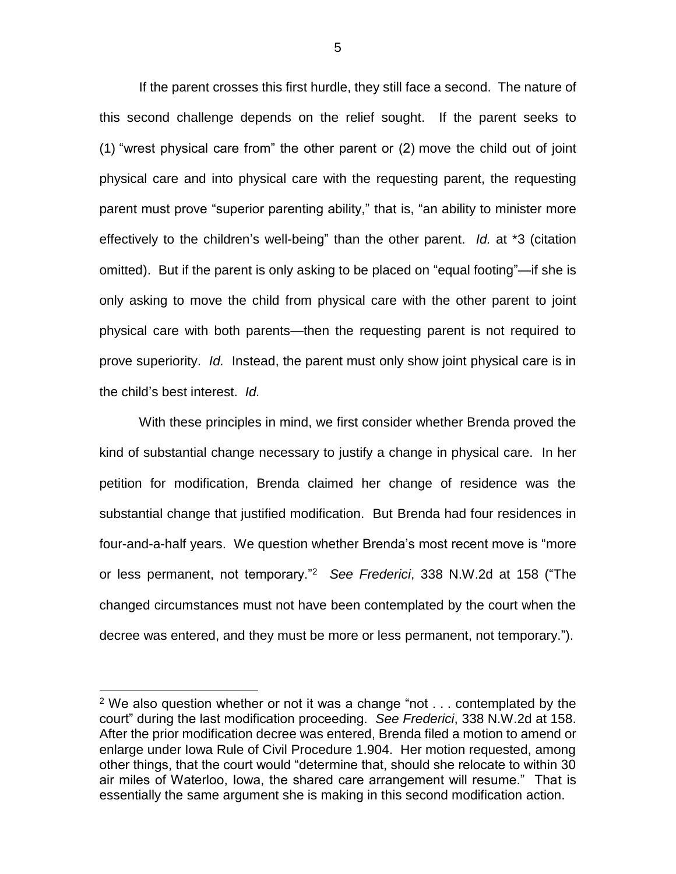If the parent crosses this first hurdle, they still face a second. The nature of this second challenge depends on the relief sought. If the parent seeks to (1) "wrest physical care from" the other parent or (2) move the child out of joint physical care and into physical care with the requesting parent, the requesting parent must prove "superior parenting ability," that is, "an ability to minister more effectively to the children's well-being" than the other parent. *Id.* at \*3 (citation omitted). But if the parent is only asking to be placed on "equal footing"—if she is only asking to move the child from physical care with the other parent to joint physical care with both parents—then the requesting parent is not required to prove superiority. *Id.* Instead, the parent must only show joint physical care is in the child's best interest. *Id.*

With these principles in mind, we first consider whether Brenda proved the kind of substantial change necessary to justify a change in physical care. In her petition for modification, Brenda claimed her change of residence was the substantial change that justified modification. But Brenda had four residences in four-and-a-half years. We question whether Brenda's most recent move is "more or less permanent, not temporary."<sup>2</sup> *See Frederici*, 338 N.W.2d at 158 ("The changed circumstances must not have been contemplated by the court when the decree was entered, and they must be more or less permanent, not temporary.").

 $\overline{a}$ 

<sup>&</sup>lt;sup>2</sup> We also question whether or not it was a change "not  $\dots$  contemplated by the court" during the last modification proceeding. *See Frederici*, 338 N.W.2d at 158. After the prior modification decree was entered, Brenda filed a motion to amend or enlarge under Iowa Rule of Civil Procedure 1.904. Her motion requested, among other things, that the court would "determine that, should she relocate to within 30 air miles of Waterloo, Iowa, the shared care arrangement will resume." That is essentially the same argument she is making in this second modification action.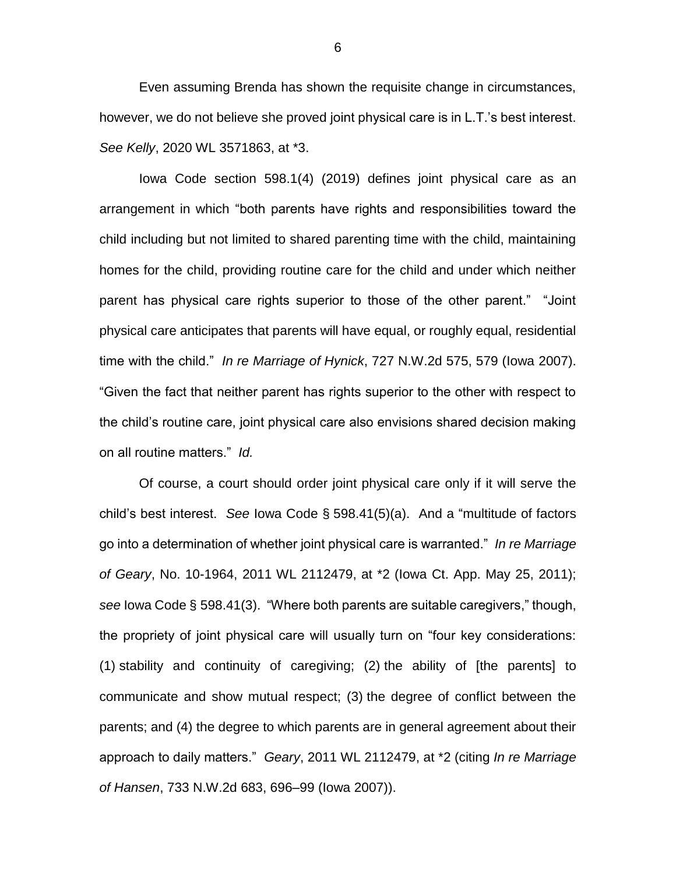Even assuming Brenda has shown the requisite change in circumstances, however, we do not believe she proved joint physical care is in L.T.'s best interest. *See Kelly*, 2020 WL 3571863, at \*3.

Iowa Code section 598.1(4) (2019) defines joint physical care as an arrangement in which "both parents have rights and responsibilities toward the child including but not limited to shared parenting time with the child, maintaining homes for the child, providing routine care for the child and under which neither parent has physical care rights superior to those of the other parent." "Joint physical care anticipates that parents will have equal, or roughly equal, residential time with the child." *In re Marriage of Hynick*, 727 N.W.2d 575, 579 (Iowa 2007). "Given the fact that neither parent has rights superior to the other with respect to the child's routine care, joint physical care also envisions shared decision making on all routine matters." *Id.*

Of course, a court should order joint physical care only if it will serve the child's best interest. *See* Iowa Code § 598.41(5)(a). And a "multitude of factors go into a determination of whether joint physical care is warranted." *In re Marriage of Geary*, No. 10-1964, 2011 WL 2112479, at \*2 (Iowa Ct. App. May 25, 2011); *see* Iowa Code § 598.41(3). "Where both parents are suitable caregivers," though, the propriety of joint physical care will usually turn on "four key considerations: (1) stability and continuity of caregiving; (2) the ability of [the parents] to communicate and show mutual respect; (3) the degree of conflict between the parents; and (4) the degree to which parents are in general agreement about their approach to daily matters." *Geary*, 2011 WL 2112479, at \*2 (citing *In re Marriage of Hansen*, 733 N.W.2d 683, 696–99 (Iowa 2007)).

6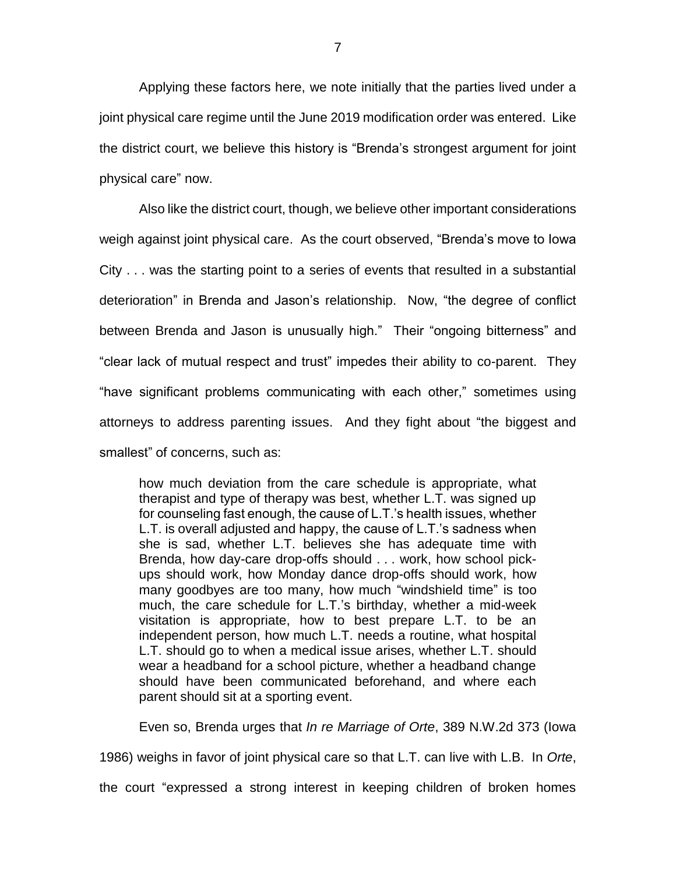Applying these factors here, we note initially that the parties lived under a joint physical care regime until the June 2019 modification order was entered. Like the district court, we believe this history is "Brenda's strongest argument for joint physical care" now.

Also like the district court, though, we believe other important considerations weigh against joint physical care. As the court observed, "Brenda's move to Iowa City . . . was the starting point to a series of events that resulted in a substantial deterioration" in Brenda and Jason's relationship. Now, "the degree of conflict between Brenda and Jason is unusually high." Their "ongoing bitterness" and "clear lack of mutual respect and trust" impedes their ability to co-parent. They "have significant problems communicating with each other," sometimes using attorneys to address parenting issues. And they fight about "the biggest and smallest" of concerns, such as:

how much deviation from the care schedule is appropriate, what therapist and type of therapy was best, whether L.T. was signed up for counseling fast enough, the cause of L.T.'s health issues, whether L.T. is overall adjusted and happy, the cause of L.T.'s sadness when she is sad, whether L.T. believes she has adequate time with Brenda, how day-care drop-offs should . . . work, how school pickups should work, how Monday dance drop-offs should work, how many goodbyes are too many, how much "windshield time" is too much, the care schedule for L.T.'s birthday, whether a mid-week visitation is appropriate, how to best prepare L.T. to be an independent person, how much L.T. needs a routine, what hospital L.T. should go to when a medical issue arises, whether L.T. should wear a headband for a school picture, whether a headband change should have been communicated beforehand, and where each parent should sit at a sporting event.

Even so, Brenda urges that *In re Marriage of Orte*, 389 N.W.2d 373 (Iowa 1986) weighs in favor of joint physical care so that L.T. can live with L.B. In *Orte*, the court "expressed a strong interest in keeping children of broken homes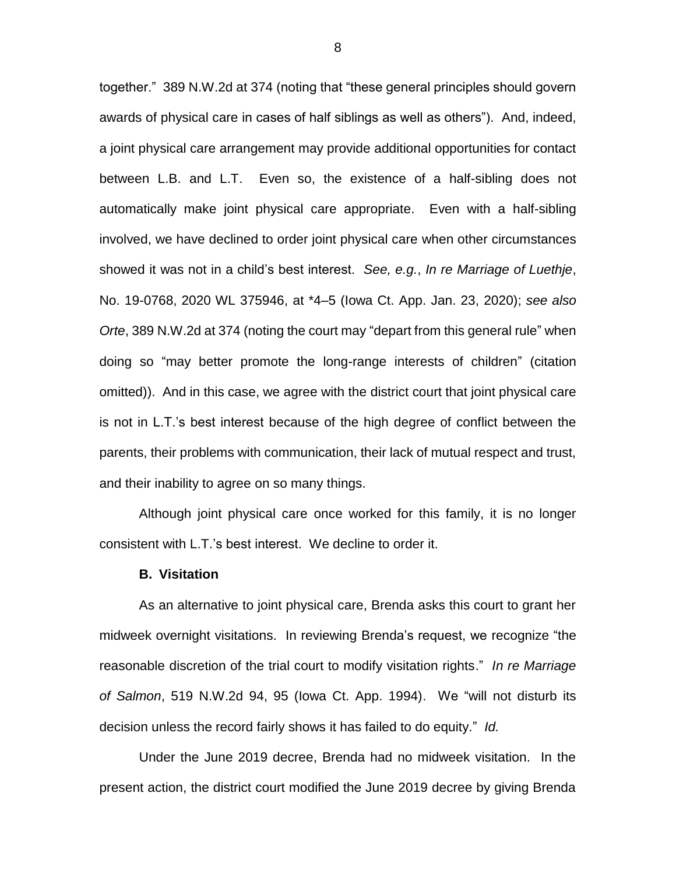together." 389 N.W.2d at 374 (noting that "these general principles should govern awards of physical care in cases of half siblings as well as others"). And, indeed, a joint physical care arrangement may provide additional opportunities for contact between L.B. and L.T. Even so, the existence of a half-sibling does not automatically make joint physical care appropriate. Even with a half-sibling involved, we have declined to order joint physical care when other circumstances showed it was not in a child's best interest. *See, e.g.*, *In re Marriage of Luethje*, No. 19-0768, 2020 WL 375946, at \*4–5 (Iowa Ct. App. Jan. 23, 2020); *see also Orte*, 389 N.W.2d at 374 (noting the court may "depart from this general rule" when doing so "may better promote the long-range interests of children" (citation omitted)). And in this case, we agree with the district court that joint physical care is not in L.T.'s best interest because of the high degree of conflict between the parents, their problems with communication, their lack of mutual respect and trust, and their inability to agree on so many things.

Although joint physical care once worked for this family, it is no longer consistent with L.T.'s best interest. We decline to order it.

#### **B. Visitation**

As an alternative to joint physical care, Brenda asks this court to grant her midweek overnight visitations. In reviewing Brenda's request, we recognize "the reasonable discretion of the trial court to modify visitation rights." *In re Marriage of Salmon*, 519 N.W.2d 94, 95 (Iowa Ct. App. 1994). We "will not disturb its decision unless the record fairly shows it has failed to do equity." *Id.*

Under the June 2019 decree, Brenda had no midweek visitation. In the present action, the district court modified the June 2019 decree by giving Brenda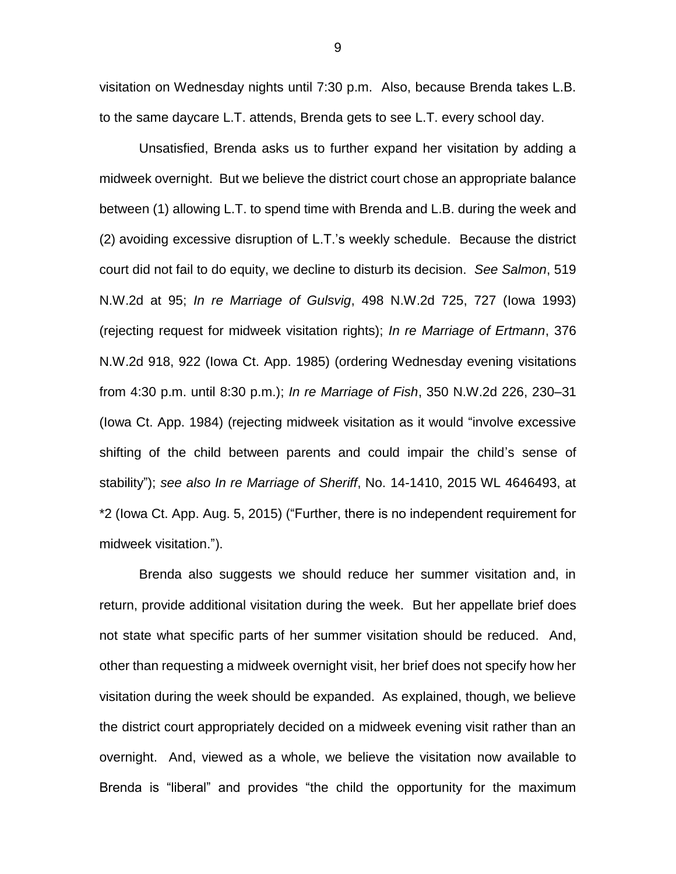visitation on Wednesday nights until 7:30 p.m. Also, because Brenda takes L.B. to the same daycare L.T. attends, Brenda gets to see L.T. every school day.

Unsatisfied, Brenda asks us to further expand her visitation by adding a midweek overnight. But we believe the district court chose an appropriate balance between (1) allowing L.T. to spend time with Brenda and L.B. during the week and (2) avoiding excessive disruption of L.T.'s weekly schedule. Because the district court did not fail to do equity, we decline to disturb its decision. *See Salmon*, 519 N.W.2d at 95; *In re Marriage of Gulsvig*, 498 N.W.2d 725, 727 (Iowa 1993) (rejecting request for midweek visitation rights); *In re Marriage of Ertmann*, 376 N.W.2d 918, 922 (Iowa Ct. App. 1985) (ordering Wednesday evening visitations from 4:30 p.m. until 8:30 p.m.); *In re Marriage of Fish*, 350 N.W.2d 226, 230–31 (Iowa Ct. App. 1984) (rejecting midweek visitation as it would "involve excessive shifting of the child between parents and could impair the child's sense of stability"); *see also In re Marriage of Sheriff*, No. 14-1410, 2015 WL 4646493, at \*2 (Iowa Ct. App. Aug. 5, 2015) ("Further, there is no independent requirement for midweek visitation.").

Brenda also suggests we should reduce her summer visitation and, in return, provide additional visitation during the week. But her appellate brief does not state what specific parts of her summer visitation should be reduced. And, other than requesting a midweek overnight visit, her brief does not specify how her visitation during the week should be expanded. As explained, though, we believe the district court appropriately decided on a midweek evening visit rather than an overnight. And, viewed as a whole, we believe the visitation now available to Brenda is "liberal" and provides "the child the opportunity for the maximum

9